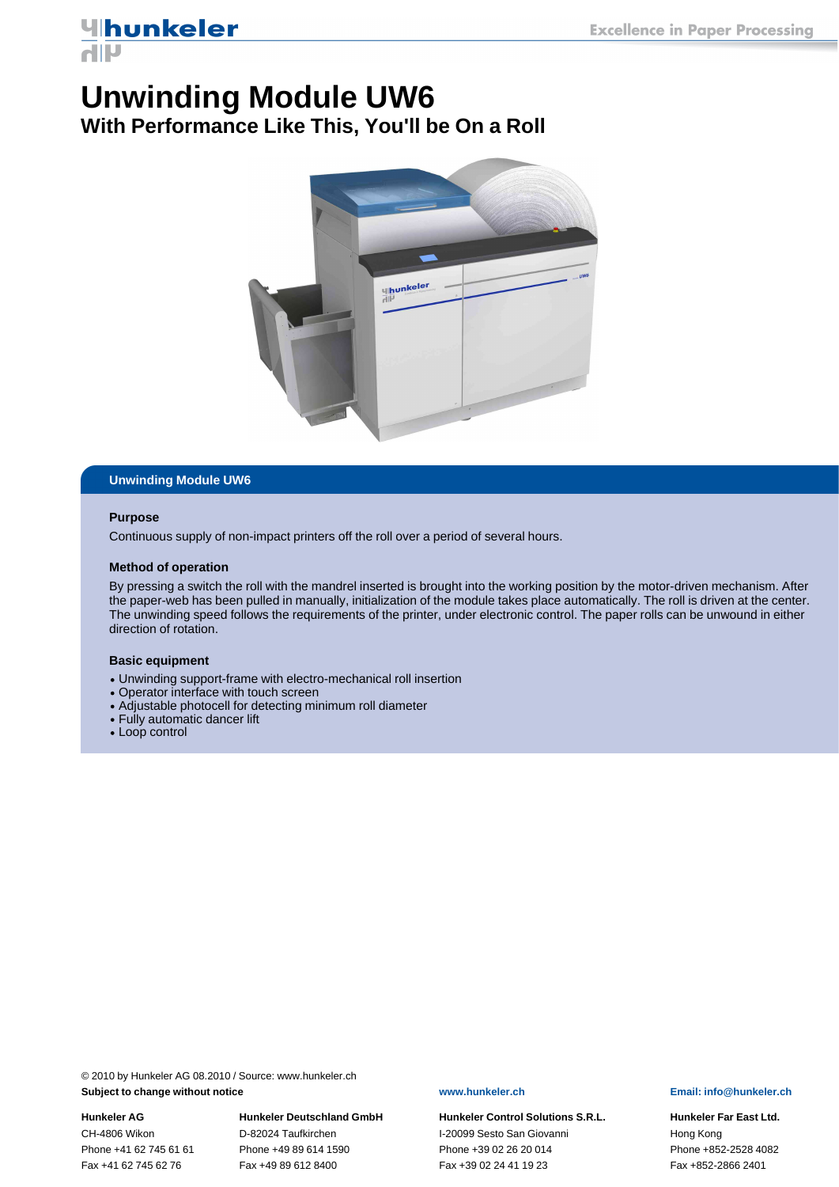## *<u>Uhunkeler</u>* **AIIV**

# **Unwinding Module UW6**

**With Performance Like This, You'll be On a Roll**



### **Unwinding Module UW6**

### **Purpose**

Continuous supply of non-impact printers off the roll over a period of several hours.

### **Method of operation**

By pressing a switch the roll with the mandrel inserted is brought into the working position by the motor-driven mechanism. After the paper-web has been pulled in manually, initialization of the module takes place automatically. The roll is driven at the center. The unwinding speed follows the requirements of the printer, under electronic control. The paper rolls can be unwound in either direction of rotation.

### **Basic equipment**

- Unwinding support-frame with electro-mechanical roll insertion
- Operator interface with touch screen
- Adjustable photocell for detecting minimum roll diameter
- Fully automatic dancer lift
- Loop control

© 2010 by Hunkeler AG 08.2010 / Source: www.hunkeler.ch **Subject to change without notice www.hunkeler.ch Email: info@hunkeler.ch**

Fax +41 62 745 62 76 Fax +49 89 612 8400 Fax +39 02 24 41 19 23 Fax +852-2866 2401

**Hunkeler AG Hunkeler Deutschland GmbH Hunkeler Control Solutions S.R.L. Hunkeler Far East Ltd.** CH-4806 Wikon D-82024 Taufkirchen I-20099 Sesto San Giovanni Hong Kong Phone +41 62 745 61 61 Phone +49 89 614 1590 Phone +39 02 26 20 014 Phone +852-2528 4082